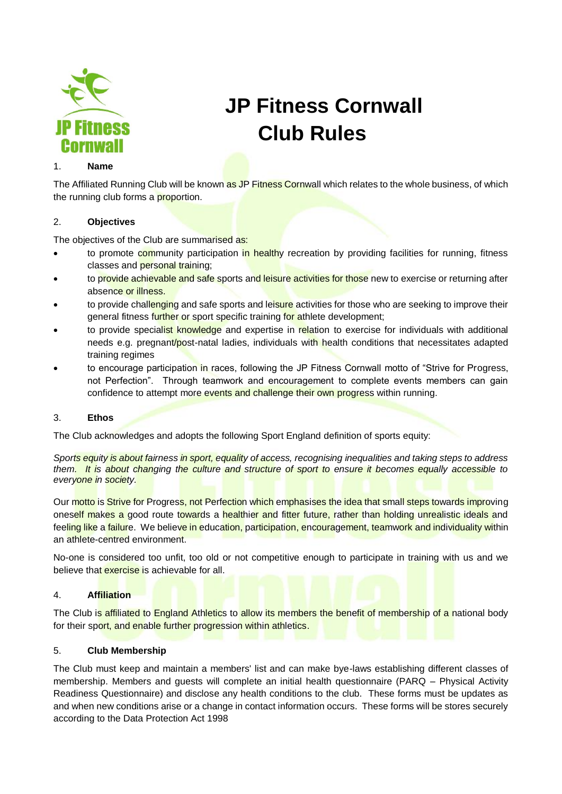

# **JP Fitness Cornwall Club Rules**

#### 1. **Name**

The Affiliated Running Club will be known as JP Fitness Cornwall which relates to the whole business, of which the running club forms a proportion.

## 2. **Objectives**

The objectives of the Club are summarised as:

- to promote community participation in healthy recreation by providing facilities for running, fitness classes and personal training;
- to provide achievable and safe sports and leisure activities for those new to exercise or returning after absence or illness.
- to provide challenging and safe sports and leisure activities for those who are seeking to improve their general fitness further or sport specific training for athlete development;
- to provide specialist knowledge and expertise in relation to exercise for individuals with additional needs e.g. pregnant/post-natal ladies, individuals with health conditions that necessitates adapted training regimes
- to encourage participation in races, following the JP Fitness Cornwall motto of "Strive for Progress, not Perfection". Through teamwork and encouragement to complete events members can gain confidence to attempt more events and challenge their own progress within running.

## 3. **Ethos**

The Club acknowledges and adopts the following Sport England definition of sports equity:

*Sports equity is about fairness in sport, equality of access, recognising inequalities and taking steps to address them. It is about changing the culture and structure of sport to ensure it becomes equally accessible to everyone in society.*

Our motto is Strive for Progress, not Perfection which emphasises the idea that small steps towards improving oneself makes a good route towards a healthier and fitter future, rather than holding unrealistic ideals and feeling like a failure. We believe in education, participation, encouragement, teamwork and individuality within an athlete-centred environment.

No-one is considered too unfit, too old or not competitive enough to participate in training with us and we believe that exercise is achievable for all.

# 4. **Affiliation**

The Club is affiliated to England Athletics to allow its members the benefit of membership of a national body for their sport, and enable further progression within athletics.

## 5. **Club Membership**

The Club must keep and maintain a members' list and can make bye-laws establishing different classes of membership. Members and guests will complete an initial health questionnaire (PARQ – Physical Activity Readiness Questionnaire) and disclose any health conditions to the club. These forms must be updates as and when new conditions arise or a change in contact information occurs. These forms will be stores securely according to the Data Protection Act 1998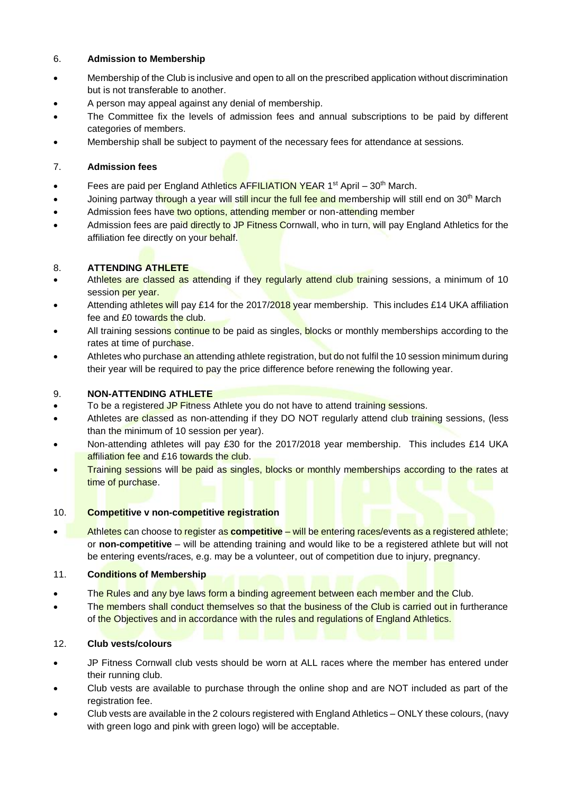## 6. **Admission to Membership**

- Membership of the Club is inclusive and open to all on the prescribed application without discrimination but is not transferable to another.
- A person may appeal against any denial of membership.
- The Committee fix the levels of admission fees and annual subscriptions to be paid by different categories of members.
- Membership shall be subject to payment of the necessary fees for attendance at sessions.

# 7. **Admission fees**

- Fees are paid per England Athletics AFFILIATION YEAR 1<sup>st</sup> April 30<sup>th</sup> March.
- Joining partway through a year will still incur the full fee and membership will still end on 30<sup>th</sup> March
- Admission fees have two options, attending member or non-attending member
- Admission fees are paid directly to JP Fitness Cornwall, who in turn, will pay England Athletics for the affiliation fee directly on your behalf.

# 8. **ATTENDING ATHLETE**

- Athletes are classed as attending if they regularly attend club training sessions, a minimum of 10 session per year.
- Attending athletes will pay £14 for the 2017/2018 year membership. This includes £14 UKA affiliation fee and £0 towards the club.
- All training sessions continue to be paid as singles, blocks or monthly memberships according to the rates at time of purchase.
- Athletes who purchase an attending athlete registration, but do not fulfil the 10 session minimum during their year will be required to pay the price difference before renewing the following year.

# 9. **NON-ATTENDING ATHLETE**

- To be a registered JP Fitness Athlete you do not have to attend training sessions.
- Athletes are classed as non-attending if they DO NOT regularly attend club training sessions, (less than the minimum of 10 session per year).
- Non-attending athletes will pay £30 for the 2017/2018 year membership. This includes £14 UKA affiliation fee and £16 towards the club.
- **Training sessions will be paid as singles, blocks or monthly memberships according to the rates at** time of purchase.

# 10. **Competitive v non-competitive registration**

• Athletes can choose to register as **competitive** – will be entering races/events as a registered athlete; or **non-competitive** – will be attending training and would like to be a registered athlete but will not be entering events/races, e.g. may be a volunteer, out of competition due to injury, pregnancy.

# 11. **Conditions of Membership**

- The Rules and any bye laws form a binding agreement between each member and the Club.
- The members shall conduct themselves so that the business of the Club is carried out in furtherance of the Objectives and in accordance with the rules and regulations of England Athletics.

# 12. **Club vests/colours**

- JP Fitness Cornwall club vests should be worn at ALL races where the member has entered under their running club.
- Club vests are available to purchase through the online shop and are NOT included as part of the registration fee.
- Club vests are available in the 2 colours registered with England Athletics ONLY these colours, (navy with green logo and pink with green logo) will be acceptable.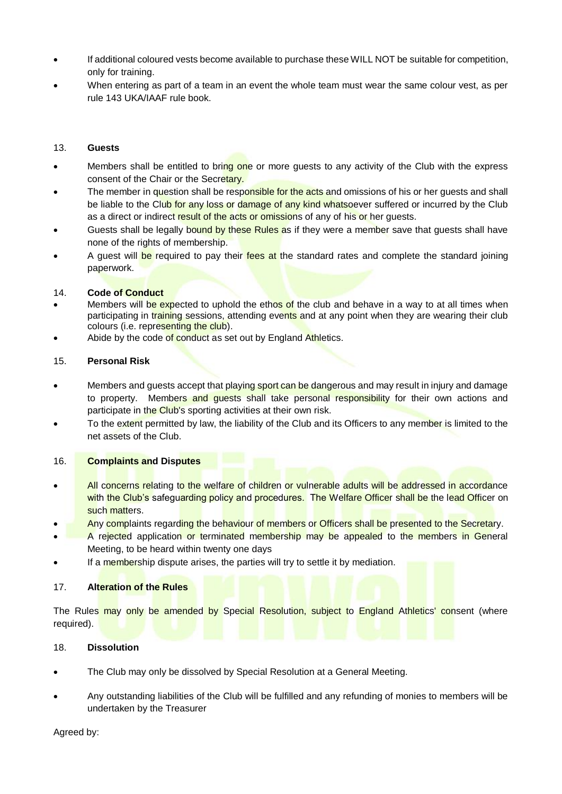- If additional coloured vests become available to purchase these WILL NOT be suitable for competition, only for training.
- When entering as part of a team in an event the whole team must wear the same colour vest, as per rule 143 UKA/IAAF rule book.

#### 13. **Guests**

- Members shall be entitled to bring one or more quests to any activity of the Club with the express consent of the Chair or the Secretary.
- The member in question shall be responsible for the acts and omissions of his or her quests and shall be liable to the Club for any loss or damage of any kind whatsoever suffered or incurred by the Club as a direct or indirect result of the acts or omissions of any of his or her quests.
- Guests shall be legally bound by these Rules as if they were a member save that quests shall have none of the rights of membership.
- A quest will be required to pay their fees at the standard rates and complete the standard joining paperwork.

#### 14. **Code of Conduct**

- Members will be expected to uphold the ethos of the club and behave in a way to at all times when participating in training sessions, attending events and at any point when they are wearing their club colours (i.e. representing the club).
- Abide by the code of conduct as set out by England Athletics.

#### 15. **Personal Risk**

- Members and guests accept that playing sport can be dangerous and may result in injury and damage to property. Members and quests shall take personal responsibility for their own actions and participate in the Club's sporting activities at their own risk.
- To the extent permitted by law, the liability of the Club and its Officers to any member is limited to the net assets of the Club.

## 16. **Complaints and Disputes**

- All concerns relating to the welfare of children or vulnerable adults will be addressed in accordance with the Club's safeguarding policy and procedures. The Welfare Officer shall be the lead Officer on such matters.
- Any complaints regarding the behaviour of members or Officers shall be presented to the Secretary.
- A rejected application or terminated membership may be appealed to the members in General Meeting, to be heard within twenty one days
- If a membership dispute arises, the parties will try to settle it by mediation.

## 17. **Alteration of the Rules**

The Rules may only be amended by Special Resolution, subject to England Athletics' consent (where required).

## 18. **Dissolution**

- The Club may only be dissolved by Special Resolution at a General Meeting.
- Any outstanding liabilities of the Club will be fulfilled and any refunding of monies to members will be undertaken by the Treasurer

Agreed by: